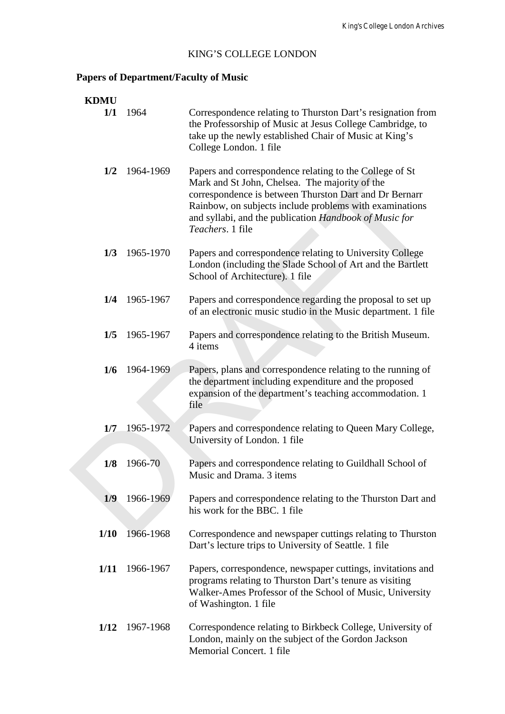## KING'S COLLEGE LONDON

## **Papers of Department/Faculty of Music**

| <b>KDMU</b> |           |                                                                                                                                                                                                                                                                                                              |
|-------------|-----------|--------------------------------------------------------------------------------------------------------------------------------------------------------------------------------------------------------------------------------------------------------------------------------------------------------------|
| 1/1         | 1964      | Correspondence relating to Thurston Dart's resignation from<br>the Professorship of Music at Jesus College Cambridge, to<br>take up the newly established Chair of Music at King's<br>College London. 1 file                                                                                                 |
| 1/2         | 1964-1969 | Papers and correspondence relating to the College of St<br>Mark and St John, Chelsea. The majority of the<br>correspondence is between Thurston Dart and Dr Bernarr<br>Rainbow, on subjects include problems with examinations<br>and syllabi, and the publication Handbook of Music for<br>Teachers. 1 file |
| 1/3         | 1965-1970 | Papers and correspondence relating to University College<br>London (including the Slade School of Art and the Bartlett<br>School of Architecture). 1 file                                                                                                                                                    |
| 1/4         | 1965-1967 | Papers and correspondence regarding the proposal to set up<br>of an electronic music studio in the Music department. 1 file                                                                                                                                                                                  |
| 1/5         | 1965-1967 | Papers and correspondence relating to the British Museum.<br>4 items                                                                                                                                                                                                                                         |
| 1/6         | 1964-1969 | Papers, plans and correspondence relating to the running of<br>the department including expenditure and the proposed<br>expansion of the department's teaching accommodation. 1<br>file                                                                                                                      |
| 1/7         | 1965-1972 | Papers and correspondence relating to Queen Mary College,<br>University of London. 1 file                                                                                                                                                                                                                    |
| 1/8         | 1966-70   | Papers and correspondence relating to Guildhall School of<br>Music and Drama. 3 items                                                                                                                                                                                                                        |
| 1/9         | 1966-1969 | Papers and correspondence relating to the Thurston Dart and<br>his work for the BBC. 1 file                                                                                                                                                                                                                  |
| 1/10        | 1966-1968 | Correspondence and newspaper cuttings relating to Thurston<br>Dart's lecture trips to University of Seattle. 1 file                                                                                                                                                                                          |
| 1/11        | 1966-1967 | Papers, correspondence, newspaper cuttings, invitations and<br>programs relating to Thurston Dart's tenure as visiting<br>Walker-Ames Professor of the School of Music, University<br>of Washington. 1 file                                                                                                  |
| 1/12        | 1967-1968 | Correspondence relating to Birkbeck College, University of<br>London, mainly on the subject of the Gordon Jackson<br>Memorial Concert. 1 file                                                                                                                                                                |